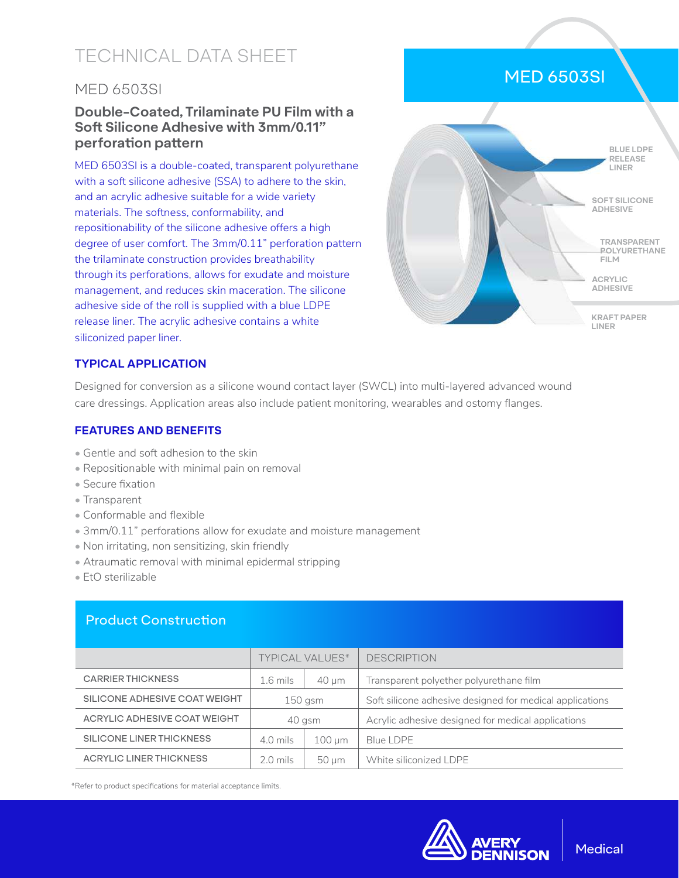# TECHNICAL DATA SHEET

### MED 6503SI

#### **Double-Coated, Trilaminate PU Film with a Soft Silicone Adhesive with 3mm/0.11" perforation pattern**

MED 6503SI is a double-coated, transparent polyurethane with a soft silicone adhesive (SSA) to adhere to the skin, and an acrylic adhesive suitable for a wide variety materials. The softness, conformability, and repositionability of the silicone adhesive offers a high degree of user comfort. The 3mm/0.11" perforation pattern the trilaminate construction provides breathability through its perforations, allows for exudate and moisture management, and reduces skin maceration. The silicone adhesive side of the roll is supplied with a blue LDPE release liner. The acrylic adhesive contains a white siliconized paper liner.



#### **TYPICAL APPLICATION**

Designed for conversion as a silicone wound contact layer (SWCL) into multi-layered advanced wound care dressings. Application areas also include patient monitoring, wearables and ostomy flanges.

#### **FEATURES AND BENEFITS**

- Gentle and soft adhesion to the skin
- Repositionable with minimal pain on removal
- Secure fixation
- Transparent
- Conformable and flexible
- 3mm/0.11" perforations allow for exudate and moisture management
- Non irritating, non sensitizing, skin friendly
- Atraumatic removal with minimal epidermal stripping
- EtO sterilizable

#### Product Construction

|                               | <b>TYPICAL VALUES*</b> |             | <b>DESCRIPTION</b>                                       |
|-------------------------------|------------------------|-------------|----------------------------------------------------------|
| <b>CARRIER THICKNESS</b>      | $1.6$ mils             | $40 \mu m$  | Transparent polyether polyurethane film                  |
| SILICONE ADHESIVE COAT WEIGHT | $150$ gsm              |             | Soft silicone adhesive designed for medical applications |
| ACRYLIC ADHESIVE COAT WEIGHT  | 40 gsm                 |             | Acrylic adhesive designed for medical applications       |
| SILICONE LINER THICKNESS      | $4.0$ mils             | $100 \mu m$ | <b>Blue LDPE</b>                                         |
| ACRYLIC LINER THICKNESS       | $2.0 \text{ miles}$    | 50 um       | White siliconized LDPE                                   |

\*Refer to product specifications for material acceptance limits.